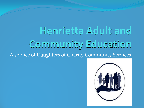# **Henrietta Adult and Community Education**  A service of Daughters of Charity Community Services

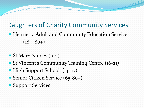#### Daughters of Charity Community Services

- Henrietta Adult and Community Education Service  $(18 - 80+)$
- St Mary Nursey (0-5)
- St Vincent's Community Training Centre (16-21)
- High Support School (13-17)
- Senior Citizen Service (65-80+)
- Support Services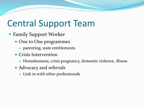- Family Support Worker
	- One to One programmes
		- parenting, state entitlements
	- Crisis Intervention
		- Homelessness, crisis pregnancy, domestic violence, illness
	- Advocacy and referrals
		- Link in with other professionals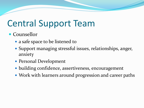#### • Counsellor

- a safe space to be listened to
- Support managing stressful issues, relationships, anger, anxiety
- Personal Development
- building confidence, assertiveness, encouragement
- Work with learners around progression and career paths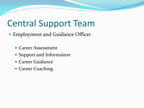- Employment and Guidance Officer
	- Career Assessment
	- Support and Informaiton
	- Career Guidance
	- Career Coaching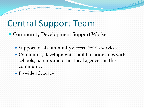- Community Development Support Worker
	- Support local community access DoCCs services
	- Community development build relationships with schools, parents and other local agencies in the community
	- Provide advocacy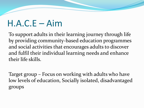#### H.A.C.E – Aim

To support adults in their learning journey through life by providing community-based education programmes and social activities that encourages adults to discover and fulfil their individual learning needs and enhance their life skills.

Target group – Focus on working with adults who have low levels of education, Socially isolated, disadvantaged groups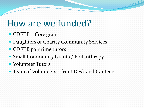#### How are we funded?

- CDETB Core grant
- Daughters of Charity Community Services
- CDETB part time tutors
- Small Community Grants / Philanthropy
- Volunteer Tutors
- Team of Volunteers front Desk and Canteen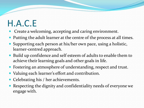## H.A.C.E

- Create a welcoming, accepting and caring environment.
- Putting the adult learner at the centre of the process at all times.
- Supporting each person at his/her own pace, using a holistic, learner-centred approach.
- Build up confidence and self esteem of adults to enable them to achieve their learning goals and other goals in life.
- Fostering an atmosphere of understanding, respect and trust.
- Valuing each learner's effort and contribution.
- Celebrating his / her achievements.
- Respecting the dignity and confidentiality needs of everyone we engage with.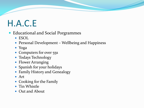## H.A.C.E

- Educational and Social Porgrammes
	- ESOL
	- Personal Development Wellbeing and Happiness
	- Yoga
	- Computers for over 55s
	- Todays Technology
	- Flower Arranging
	- Spanish for your holidays
	- Family History and Genealogy
	- Art
	- Cooking for the Family
	- Tin Whistle
	- Out and About